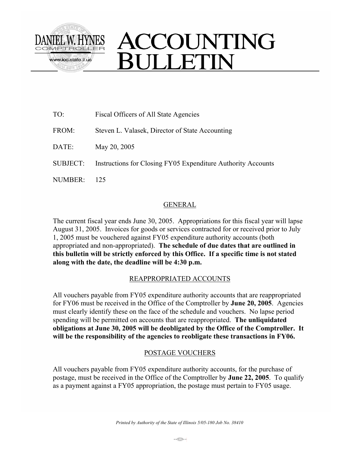

# ACCOUNTING **SULLETIN**

| TO:      | Fiscal Officers of All State Agencies                        |
|----------|--------------------------------------------------------------|
| FROM:    | Steven L. Valasek, Director of State Accounting              |
| DATE:    | May 20, 2005                                                 |
| SUBJECT: | Instructions for Closing FY05 Expenditure Authority Accounts |
| NUMBER:  |                                                              |

### GENERAL

The current fiscal year ends June 30, 2005. Appropriations for this fiscal year will lapse August 31, 2005. Invoices for goods or services contracted for or received prior to July 1, 2005 must be vouchered against FY05 expenditure authority accounts (both appropriated and non-appropriated). **The schedule of due dates that are outlined in this bulletin will be strictly enforced by this Office. If a specific time is not stated along with the date, the deadline will be 4:30 p.m.** 

#### REAPPROPRIATED ACCOUNTS

All vouchers payable from FY05 expenditure authority accounts that are reappropriated for FY06 must be received in the Office of the Comptroller by **June 20, 2005**. Agencies must clearly identify these on the face of the schedule and vouchers. No lapse period spending will be permitted on accounts that are reappropriated. **The unliquidated obligations at June 30, 2005 will be deobligated by the Office of the Comptroller. It will be the responsibility of the agencies to reobligate these transactions in FY06.**

## POSTAGE VOUCHERS

All vouchers payable from FY05 expenditure authority accounts, for the purchase of postage, must be received in the Office of the Comptroller by **June 22, 2005**. To qualify as a payment against a FY05 appropriation, the postage must pertain to FY05 usage.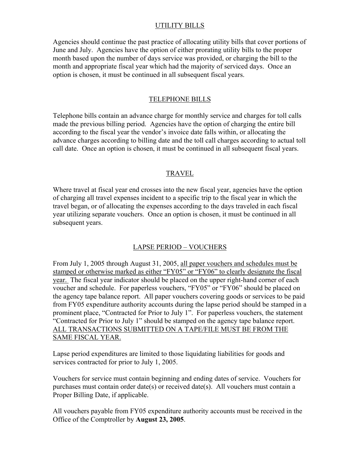#### UTILITY BILLS

Agencies should continue the past practice of allocating utility bills that cover portions of June and July. Agencies have the option of either prorating utility bills to the proper month based upon the number of days service was provided, or charging the bill to the month and appropriate fiscal year which had the majority of serviced days. Once an option is chosen, it must be continued in all subsequent fiscal years.

#### TELEPHONE BILLS

Telephone bills contain an advance charge for monthly service and charges for toll calls made the previous billing period. Agencies have the option of charging the entire bill according to the fiscal year the vendor's invoice date falls within, or allocating the advance charges according to billing date and the toll call charges according to actual toll call date. Once an option is chosen, it must be continued in all subsequent fiscal years.

#### TRAVEL

Where travel at fiscal year end crosses into the new fiscal year, agencies have the option of charging all travel expenses incident to a specific trip to the fiscal year in which the travel began, or of allocating the expenses according to the days traveled in each fiscal year utilizing separate vouchers. Once an option is chosen, it must be continued in all subsequent years.

#### LAPSE PERIOD – VOUCHERS

From July 1, 2005 through August 31, 2005, all paper vouchers and schedules must be stamped or otherwise marked as either "FY05" or "FY06" to clearly designate the fiscal year. The fiscal year indicator should be placed on the upper right-hand corner of each voucher and schedule. For paperless vouchers, "FY05" or "FY06" should be placed on the agency tape balance report. All paper vouchers covering goods or services to be paid from FY05 expenditure authority accounts during the lapse period should be stamped in a prominent place, "Contracted for Prior to July 1". For paperless vouchers, the statement "Contracted for Prior to July 1" should be stamped on the agency tape balance report. ALL TRANSACTIONS SUBMITTED ON A TAPE/FILE MUST BE FROM THE SAME FISCAL YEAR.

Lapse period expenditures are limited to those liquidating liabilities for goods and services contracted for prior to July 1, 2005.

Vouchers for service must contain beginning and ending dates of service. Vouchers for purchases must contain order date(s) or received date(s). All vouchers must contain a Proper Billing Date, if applicable.

All vouchers payable from FY05 expenditure authority accounts must be received in the Office of the Comptroller by **August 23, 2005**.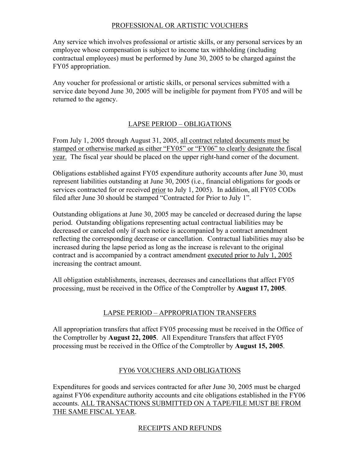#### PROFESSIONAL OR ARTISTIC VOUCHERS

Any service which involves professional or artistic skills, or any personal services by an employee whose compensation is subject to income tax withholding (including contractual employees) must be performed by June 30, 2005 to be charged against the FY05 appropriation.

Any voucher for professional or artistic skills, or personal services submitted with a service date beyond June 30, 2005 will be ineligible for payment from FY05 and will be returned to the agency.

## LAPSE PERIOD – OBLIGATIONS

From July 1, 2005 through August 31, 2005, all contract related documents must be stamped or otherwise marked as either "FY05" or "FY06" to clearly designate the fiscal year. The fiscal year should be placed on the upper right-hand corner of the document.

Obligations established against FY05 expenditure authority accounts after June 30, must represent liabilities outstanding at June 30, 2005 (i.e., financial obligations for goods or services contracted for or received prior to July 1, 2005). In addition, all FY05 CODs filed after June 30 should be stamped "Contracted for Prior to July 1".

Outstanding obligations at June 30, 2005 may be canceled or decreased during the lapse period. Outstanding obligations representing actual contractual liabilities may be decreased or canceled only if such notice is accompanied by a contract amendment reflecting the corresponding decrease or cancellation. Contractual liabilities may also be increased during the lapse period as long as the increase is relevant to the original contract and is accompanied by a contract amendment executed prior to July 1, 2005 increasing the contract amount.

All obligation establishments, increases, decreases and cancellations that affect FY05 processing, must be received in the Office of the Comptroller by **August 17, 2005**.

## LAPSE PERIOD – APPROPRIATION TRANSFERS

All appropriation transfers that affect FY05 processing must be received in the Office of the Comptroller by **August 22, 2005**. All Expenditure Transfers that affect FY05 processing must be received in the Office of the Comptroller by **August 15, 2005**.

#### FY06 VOUCHERS AND OBLIGATIONS

Expenditures for goods and services contracted for after June 30, 2005 must be charged against FY06 expenditure authority accounts and cite obligations established in the FY06 accounts. ALL TRANSACTIONS SUBMITTED ON A TAPE/FILE MUST BE FROM THE SAME FISCAL YEAR.

## RECEIPTS AND REFUNDS